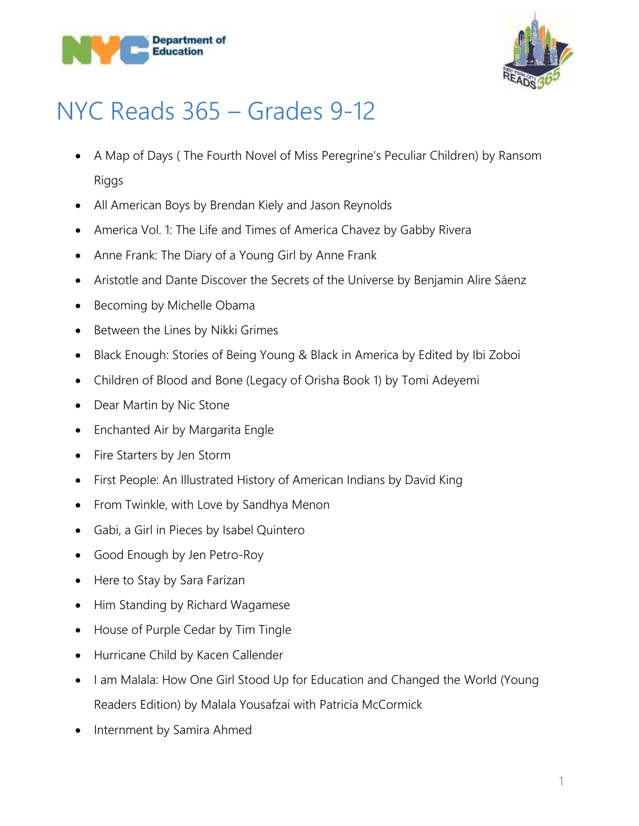



## NYC Reads 365 – Grades 9-12

- A Map of Days ( The Fourth Novel of Miss Peregrine's Peculiar Children) by Ransom Riggs
- All American Boys by Brendan Kiely and Jason Reynolds
- America Vol. 1: The Life and Times of America Chavez by Gabby Rivera
- Anne Frank: The Diary of a Young Girl by Anne Frank
- Aristotle and Dante Discover the Secrets of the Universe by Benjamin Alire Sáenz
- Becoming by Michelle Obama
- Between the Lines by Nikki Grimes
- Black Enough: Stories of Being Young & Black in America by Edited by Ibi Zoboi
- Children of Blood and Bone (Legacy of Orisha Book 1) by Tomi Adeyemi
- Dear Martin by Nic Stone
- Enchanted Air by Margarita Engle
- Fire Starters by Jen Storm
- First People: An Illustrated History of American Indians by David King
- From Twinkle, with Love by Sandhya Menon
- Gabi, a Girl in Pieces by Isabel Quintero
- Good Enough by Jen Petro-Roy
- Here to Stay by Sara Farizan
- Him Standing by Richard Wagamese
- House of Purple Cedar by Tim Tingle
- Hurricane Child by Kacen Callender
- I am Malala: How One Girl Stood Up for Education and Changed the World (Young Readers Edition) by Malala Yousafzai with Patricia McCormick
- Internment by Samira Ahmed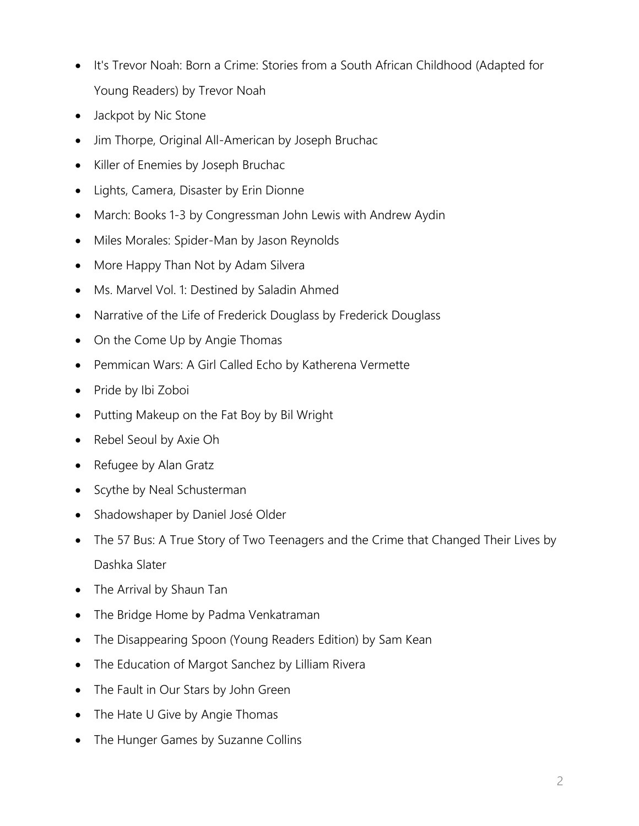- It's Trevor Noah: Born a Crime: Stories from a South African Childhood (Adapted for Young Readers) by Trevor Noah
- Jackpot by Nic Stone
- Jim Thorpe, Original All-American by Joseph Bruchac
- Killer of Enemies by Joseph Bruchac
- Lights, Camera, Disaster by Erin Dionne
- March: Books 1-3 by Congressman John Lewis with Andrew Aydin
- Miles Morales: Spider-Man by Jason Reynolds
- More Happy Than Not by Adam Silvera
- Ms. Marvel Vol. 1: Destined by Saladin Ahmed
- Narrative of the Life of Frederick Douglass by Frederick Douglass
- On the Come Up by Angie Thomas
- Pemmican Wars: A Girl Called Echo by Katherena Vermette
- Pride by Ibi Zoboi
- Putting Makeup on the Fat Boy by Bil Wright
- Rebel Seoul by Axie Oh
- Refugee by Alan Gratz
- Scythe by Neal Schusterman
- Shadowshaper by Daniel José Older
- The 57 Bus: A True Story of Two Teenagers and the Crime that Changed Their Lives by Dashka Slater
- The Arrival by Shaun Tan
- The Bridge Home by Padma Venkatraman
- The Disappearing Spoon (Young Readers Edition) by Sam Kean
- The Education of Margot Sanchez by Lilliam Rivera
- The Fault in Our Stars by John Green
- The Hate U Give by Angie Thomas
- The Hunger Games by Suzanne Collins